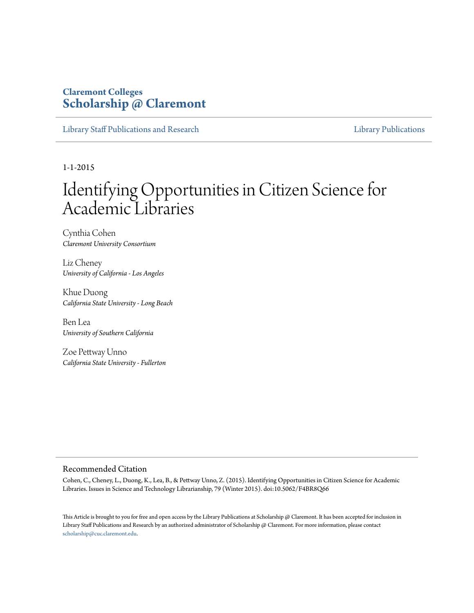#### **Claremont Colleges [Scholarship @ Claremont](http://scholarship.claremont.edu)**

[Library Staff Publications and Research](http://scholarship.claremont.edu/library_staff) [Library Publications](http://scholarship.claremont.edu/library_pub) Library Publications

1-1-2015

# Identifying Opportunities in Citizen Science for Academic Libraries

Cynthia Cohen *Claremont University Consortium*

Liz Cheney *University of California - Los Angeles*

Khue Duong *California State University - Long Beach*

Ben Lea *University of Southern California*

Zoe Pettway Unno *California State University - Fullerton*

#### Recommended Citation

Cohen, C., Cheney, L., Duong, K., Lea, B., & Pettway Unno, Z. (2015). Identifying Opportunities in Citizen Science for Academic Libraries. Issues in Science and Technology Librarianship, 79 (Winter 2015). doi:10.5062/F4BR8Q66

This Article is brought to you for free and open access by the Library Publications at Scholarship @ Claremont. It has been accepted for inclusion in Library Staff Publications and Research by an authorized administrator of Scholarship @ Claremont. For more information, please contact [scholarship@cuc.claremont.edu.](mailto:scholarship@cuc.claremont.edu)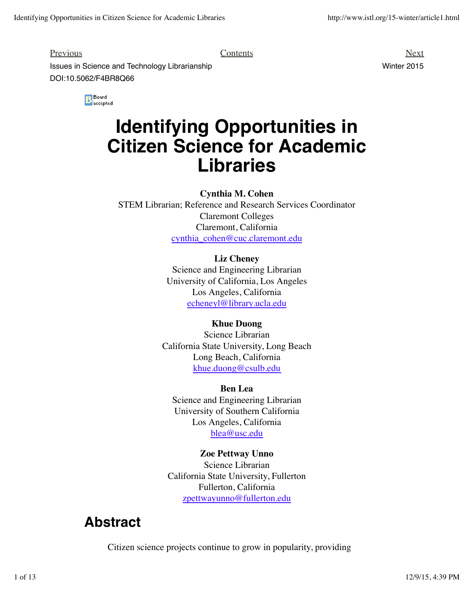Previous Next

**Issues in Science and Technology Librarianship Winter 2015** Winter 2015 DOI:10.5062/F4BR8Q66

B Board<br>B accepted

# **Identifying Opportunities in Citizen Science for Academic Libraries**

**Cynthia M. Cohen**

STEM Librarian; Reference and Research Services Coordinator Claremont Colleges Claremont, California cynthia\_cohen@cuc.claremont.edu

#### **Liz Cheney**

Science and Engineering Librarian University of California, Los Angeles Los Angeles, California echeneyl@library.ucla.edu

#### **Khue Duong**

Science Librarian California State University, Long Beach Long Beach, California khue.duong@csulb.edu

**Ben Lea** Science and Engineering Librarian University of Southern California Los Angeles, California blea@usc.edu

**Zoe Pettway Unno** Science Librarian California State University, Fullerton Fullerton, California zpettwayunno@fullerton.edu

### **Abstract**

Citizen science projects continue to grow in popularity, providing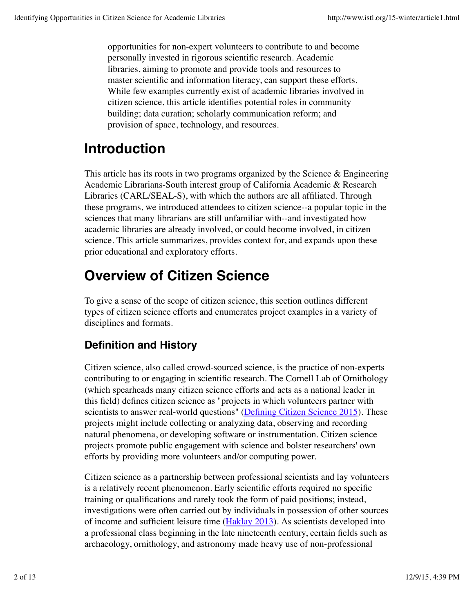opportunities for non-expert volunteers to contribute to and become personally invested in rigorous scientific research. Academic libraries, aiming to promote and provide tools and resources to master scientific and information literacy, can support these efforts. While few examples currently exist of academic libraries involved in citizen science, this article identifies potential roles in community building; data curation; scholarly communication reform; and provision of space, technology, and resources.

## **Introduction**

This article has its roots in two programs organized by the Science  $\&$  Engineering Academic Librarians-South interest group of California Academic & Research Libraries (CARL/SEAL-S), with which the authors are all affiliated. Through these programs, we introduced attendees to citizen science--a popular topic in the sciences that many librarians are still unfamiliar with--and investigated how academic libraries are already involved, or could become involved, in citizen science. This article summarizes, provides context for, and expands upon these prior educational and exploratory efforts.

## **Overview of Citizen Science**

To give a sense of the scope of citizen science, this section outlines different types of citizen science efforts and enumerates project examples in a variety of disciplines and formats.

### **Definition and History**

Citizen science, also called crowd-sourced science, is the practice of non-experts contributing to or engaging in scientific research. The Cornell Lab of Ornithology (which spearheads many citizen science efforts and acts as a national leader in this field) defines citizen science as "projects in which volunteers partner with scientists to answer real-world questions" (Defining Citizen Science 2015). These projects might include collecting or analyzing data, observing and recording natural phenomena, or developing software or instrumentation. Citizen science projects promote public engagement with science and bolster researchers' own efforts by providing more volunteers and/or computing power.

Citizen science as a partnership between professional scientists and lay volunteers is a relatively recent phenomenon. Early scientific efforts required no specific training or qualifications and rarely took the form of paid positions; instead, investigations were often carried out by individuals in possession of other sources of income and sufficient leisure time (Haklay 2013). As scientists developed into a professional class beginning in the late nineteenth century, certain fields such as archaeology, ornithology, and astronomy made heavy use of non-professional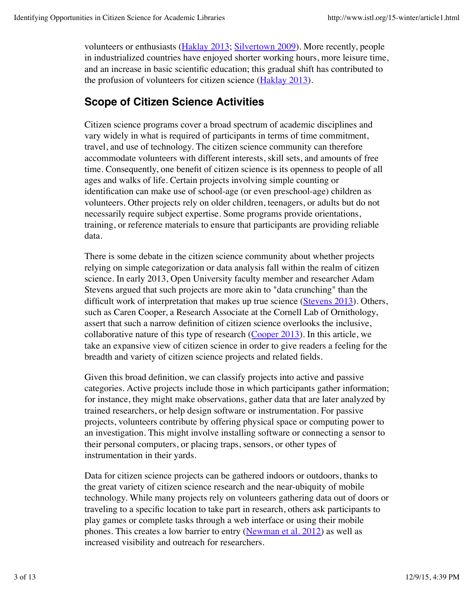volunteers or enthusiasts (Haklay 2013; Silvertown 2009). More recently, people in industrialized countries have enjoyed shorter working hours, more leisure time, and an increase in basic scientific education; this gradual shift has contributed to the profusion of volunteers for citizen science (Haklay 2013).

#### **Scope of Citizen Science Activities**

Citizen science programs cover a broad spectrum of academic disciplines and vary widely in what is required of participants in terms of time commitment, travel, and use of technology. The citizen science community can therefore accommodate volunteers with different interests, skill sets, and amounts of free time. Consequently, one benefit of citizen science is its openness to people of all ages and walks of life. Certain projects involving simple counting or identification can make use of school-age (or even preschool-age) children as volunteers. Other projects rely on older children, teenagers, or adults but do not necessarily require subject expertise. Some programs provide orientations, training, or reference materials to ensure that participants are providing reliable data.

There is some debate in the citizen science community about whether projects relying on simple categorization or data analysis fall within the realm of citizen science. In early 2013, Open University faculty member and researcher Adam Stevens argued that such projects are more akin to "data crunching" than the difficult work of interpretation that makes up true science (Stevens 2013). Others, such as Caren Cooper, a Research Associate at the Cornell Lab of Ornithology, assert that such a narrow definition of citizen science overlooks the inclusive, collaborative nature of this type of research  $(Cooper 2013)$ . In this article, we take an expansive view of citizen science in order to give readers a feeling for the breadth and variety of citizen science projects and related fields.

Given this broad definition, we can classify projects into active and passive categories. Active projects include those in which participants gather information; for instance, they might make observations, gather data that are later analyzed by trained researchers, or help design software or instrumentation. For passive projects, volunteers contribute by offering physical space or computing power to an investigation. This might involve installing software or connecting a sensor to their personal computers, or placing traps, sensors, or other types of instrumentation in their yards.

Data for citizen science projects can be gathered indoors or outdoors, thanks to the great variety of citizen science research and the near-ubiquity of mobile technology. While many projects rely on volunteers gathering data out of doors or traveling to a specific location to take part in research, others ask participants to play games or complete tasks through a web interface or using their mobile phones. This creates a low barrier to entry (Newman et al. 2012) as well as increased visibility and outreach for researchers.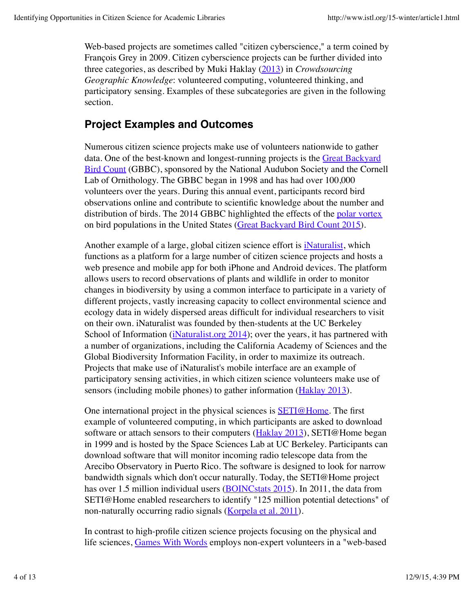Web-based projects are sometimes called "citizen cyberscience," a term coined by François Grey in 2009. Citizen cyberscience projects can be further divided into three categories, as described by Muki Haklay (2013) in *Crowdsourcing Geographic Knowledge*: volunteered computing, volunteered thinking, and participatory sensing. Examples of these subcategories are given in the following section.

### **Project Examples and Outcomes**

Numerous citizen science projects make use of volunteers nationwide to gather data. One of the best-known and longest-running projects is the Great Backyard Bird Count (GBBC), sponsored by the National Audubon Society and the Cornell Lab of Ornithology. The GBBC began in 1998 and has had over 100,000 volunteers over the years. During this annual event, participants record bird observations online and contribute to scientific knowledge about the number and distribution of birds. The 2014 GBBC highlighted the effects of the polar vortex on bird populations in the United States (Great Backyard Bird Count 2015).

Another example of a large, global citizen science effort is **Naturalist**, which functions as a platform for a large number of citizen science projects and hosts a web presence and mobile app for both iPhone and Android devices. The platform allows users to record observations of plants and wildlife in order to monitor changes in biodiversity by using a common interface to participate in a variety of different projects, vastly increasing capacity to collect environmental science and ecology data in widely dispersed areas difficult for individual researchers to visit on their own. iNaturalist was founded by then-students at the UC Berkeley School of Information (iNaturalist.org 2014); over the years, it has partnered with a number of organizations, including the California Academy of Sciences and the Global Biodiversity Information Facility, in order to maximize its outreach. Projects that make use of iNaturalist's mobile interface are an example of participatory sensing activities, in which citizen science volunteers make use of sensors (including mobile phones) to gather information (Haklay 2013).

One international project in the physical sciences is **SETI@Home**. The first example of volunteered computing, in which participants are asked to download software or attach sensors to their computers (**Haklay 2013**), SETI@Home began in 1999 and is hosted by the Space Sciences Lab at UC Berkeley. Participants can download software that will monitor incoming radio telescope data from the Arecibo Observatory in Puerto Rico. The software is designed to look for narrow bandwidth signals which don't occur naturally. Today, the SETI@Home project has over 1.5 million individual users (BOINCstats 2015). In 2011, the data from SETI@Home enabled researchers to identify "125 million potential detections" of non-naturally occurring radio signals (Korpela et al. 2011).

In contrast to high-profile citizen science projects focusing on the physical and life sciences, Games With Words employs non-expert volunteers in a "web-based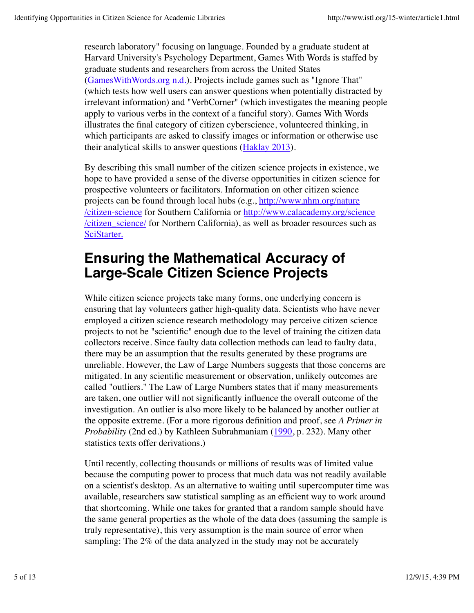research laboratory" focusing on language. Founded by a graduate student at Harvard University's Psychology Department, Games With Words is staffed by graduate students and researchers from across the United States (GamesWithWords.org n.d.). Projects include games such as "Ignore That" (which tests how well users can answer questions when potentially distracted by irrelevant information) and "VerbCorner" (which investigates the meaning people apply to various verbs in the context of a fanciful story). Games With Words illustrates the final category of citizen cyberscience, volunteered thinking, in which participants are asked to classify images or information or otherwise use their analytical skills to answer questions (Haklay 2013).

By describing this small number of the citizen science projects in existence, we hope to have provided a sense of the diverse opportunities in citizen science for prospective volunteers or facilitators. Information on other citizen science projects can be found through local hubs (e.g., http://www.nhm.org/nature /citizen-science for Southern California or http://www.calacademy.org/science /citizen\_science/ for Northern California), as well as broader resources such as SciStarter.

### **Ensuring the Mathematical Accuracy of Large-Scale Citizen Science Projects**

While citizen science projects take many forms, one underlying concern is ensuring that lay volunteers gather high-quality data. Scientists who have never employed a citizen science research methodology may perceive citizen science projects to not be "scientific" enough due to the level of training the citizen data collectors receive. Since faulty data collection methods can lead to faulty data, there may be an assumption that the results generated by these programs are unreliable. However, the Law of Large Numbers suggests that those concerns are mitigated. In any scientific measurement or observation, unlikely outcomes are called "outliers." The Law of Large Numbers states that if many measurements are taken, one outlier will not significantly influence the overall outcome of the investigation. An outlier is also more likely to be balanced by another outlier at the opposite extreme. (For a more rigorous definition and proof, see *A Primer in Probability* (2nd ed.) by Kathleen Subrahmaniam (1990, p. 232). Many other statistics texts offer derivations.)

Until recently, collecting thousands or millions of results was of limited value because the computing power to process that much data was not readily available on a scientist's desktop. As an alternative to waiting until supercomputer time was available, researchers saw statistical sampling as an efficient way to work around that shortcoming. While one takes for granted that a random sample should have the same general properties as the whole of the data does (assuming the sample is truly representative), this very assumption is the main source of error when sampling: The 2% of the data analyzed in the study may not be accurately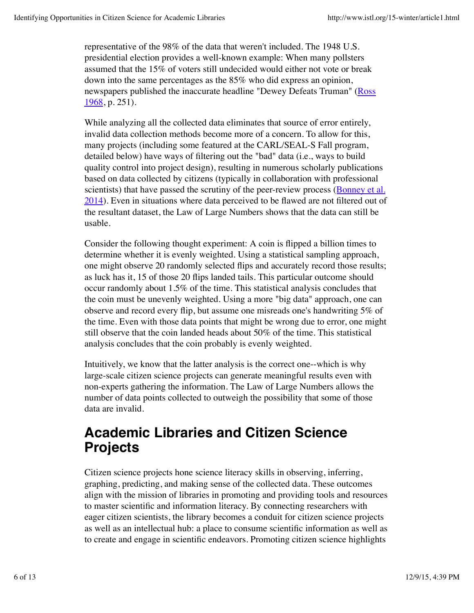representative of the 98% of the data that weren't included. The 1948 U.S. presidential election provides a well-known example: When many pollsters assumed that the 15% of voters still undecided would either not vote or break down into the same percentages as the 85% who did express an opinion, newspapers published the inaccurate headline "Dewey Defeats Truman" (Ross 1968, p. 251).

While analyzing all the collected data eliminates that source of error entirely, invalid data collection methods become more of a concern. To allow for this, many projects (including some featured at the CARL/SEAL-S Fall program, detailed below) have ways of filtering out the "bad" data (i.e., ways to build quality control into project design), resulting in numerous scholarly publications based on data collected by citizens (typically in collaboration with professional scientists) that have passed the scrutiny of the peer-review process (Bonney et al. 2014). Even in situations where data perceived to be flawed are not filtered out of the resultant dataset, the Law of Large Numbers shows that the data can still be usable.

Consider the following thought experiment: A coin is flipped a billion times to determine whether it is evenly weighted. Using a statistical sampling approach, one might observe 20 randomly selected flips and accurately record those results; as luck has it, 15 of those 20 flips landed tails. This particular outcome should occur randomly about 1.5% of the time. This statistical analysis concludes that the coin must be unevenly weighted. Using a more "big data" approach, one can observe and record every flip, but assume one misreads one's handwriting 5% of the time. Even with those data points that might be wrong due to error, one might still observe that the coin landed heads about 50% of the time. This statistical analysis concludes that the coin probably is evenly weighted.

Intuitively, we know that the latter analysis is the correct one--which is why large-scale citizen science projects can generate meaningful results even with non-experts gathering the information. The Law of Large Numbers allows the number of data points collected to outweigh the possibility that some of those data are invalid.

### **Academic Libraries and Citizen Science Projects**

Citizen science projects hone science literacy skills in observing, inferring, graphing, predicting, and making sense of the collected data. These outcomes align with the mission of libraries in promoting and providing tools and resources to master scientific and information literacy. By connecting researchers with eager citizen scientists, the library becomes a conduit for citizen science projects as well as an intellectual hub: a place to consume scientific information as well as to create and engage in scientific endeavors. Promoting citizen science highlights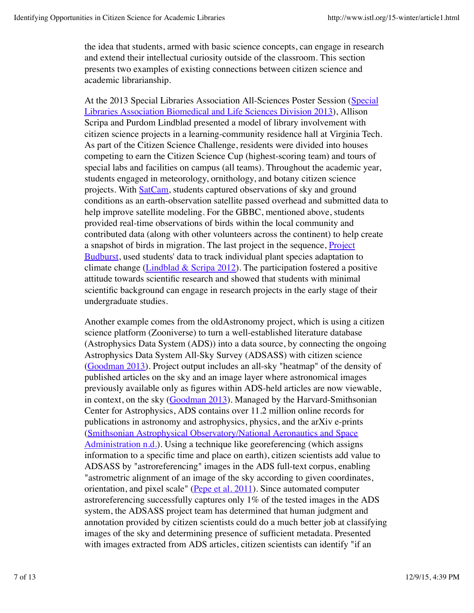the idea that students, armed with basic science concepts, can engage in research and extend their intellectual curiosity outside of the classroom. This section presents two examples of existing connections between citizen science and academic librarianship.

At the 2013 Special Libraries Association All-Sciences Poster Session (Special Libraries Association Biomedical and Life Sciences Division 2013), Allison Scripa and Purdom Lindblad presented a model of library involvement with citizen science projects in a learning-community residence hall at Virginia Tech. As part of the Citizen Science Challenge, residents were divided into houses competing to earn the Citizen Science Cup (highest-scoring team) and tours of special labs and facilities on campus (all teams). Throughout the academic year, students engaged in meteorology, ornithology, and botany citizen science projects. With SatCam, students captured observations of sky and ground conditions as an earth-observation satellite passed overhead and submitted data to help improve satellite modeling. For the GBBC, mentioned above, students provided real-time observations of birds within the local community and contributed data (along with other volunteers across the continent) to help create a snapshot of birds in migration. The last project in the sequence, **Project** Budburst, used students' data to track individual plant species adaptation to climate change (Lindblad & Scripa 2012). The participation fostered a positive attitude towards scientific research and showed that students with minimal scientific background can engage in research projects in the early stage of their undergraduate studies.

Another example comes from the oldAstronomy project, which is using a citizen science platform (Zooniverse) to turn a well-established literature database (Astrophysics Data System (ADS)) into a data source, by connecting the ongoing Astrophysics Data System All-Sky Survey (ADSASS) with citizen science (Goodman 2013). Project output includes an all-sky "heatmap" of the density of published articles on the sky and an image layer where astronomical images previously available only as figures within ADS-held articles are now viewable, in context, on the sky (Goodman 2013). Managed by the Harvard-Smithsonian Center for Astrophysics, ADS contains over 11.2 million online records for publications in astronomy and astrophysics, physics, and the arXiv e-prints (Smithsonian Astrophysical Observatory/National Aeronautics and Space Administration n.d.). Using a technique like georeferencing (which assigns information to a specific time and place on earth), citizen scientists add value to ADSASS by "astroreferencing" images in the ADS full-text corpus, enabling "astrometric alignment of an image of the sky according to given coordinates, orientation, and pixel scale" (Pepe et al. 2011). Since automated computer astroreferencing successfully captures only 1% of the tested images in the ADS system, the ADSASS project team has determined that human judgment and annotation provided by citizen scientists could do a much better job at classifying images of the sky and determining presence of sufficient metadata. Presented with images extracted from ADS articles, citizen scientists can identify "if an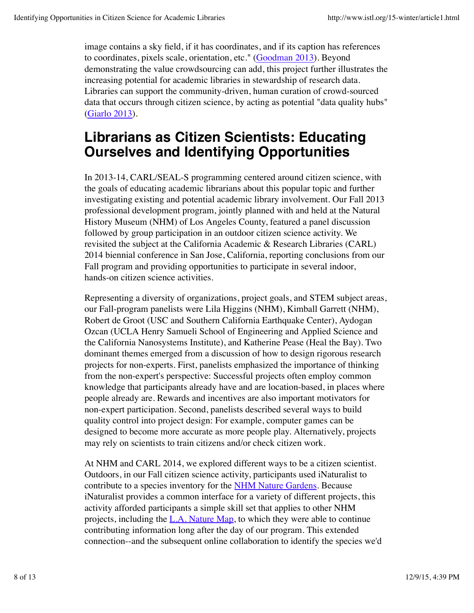image contains a sky field, if it has coordinates, and if its caption has references to coordinates, pixels scale, orientation, etc." (Goodman 2013). Beyond demonstrating the value crowdsourcing can add, this project further illustrates the increasing potential for academic libraries in stewardship of research data. Libraries can support the community-driven, human curation of crowd-sourced data that occurs through citizen science, by acting as potential "data quality hubs" (Giarlo 2013).

### **Librarians as Citizen Scientists: Educating Ourselves and Identifying Opportunities**

In 2013-14, CARL/SEAL-S programming centered around citizen science, with the goals of educating academic librarians about this popular topic and further investigating existing and potential academic library involvement. Our Fall 2013 professional development program, jointly planned with and held at the Natural History Museum (NHM) of Los Angeles County, featured a panel discussion followed by group participation in an outdoor citizen science activity. We revisited the subject at the California Academic & Research Libraries (CARL) 2014 biennial conference in San Jose, California, reporting conclusions from our Fall program and providing opportunities to participate in several indoor, hands-on citizen science activities.

Representing a diversity of organizations, project goals, and STEM subject areas, our Fall-program panelists were Lila Higgins (NHM), Kimball Garrett (NHM), Robert de Groot (USC and Southern California Earthquake Center), Aydogan Ozcan (UCLA Henry Samueli School of Engineering and Applied Science and the California Nanosystems Institute), and Katherine Pease (Heal the Bay). Two dominant themes emerged from a discussion of how to design rigorous research projects for non-experts. First, panelists emphasized the importance of thinking from the non-expert's perspective: Successful projects often employ common knowledge that participants already have and are location-based, in places where people already are. Rewards and incentives are also important motivators for non-expert participation. Second, panelists described several ways to build quality control into project design: For example, computer games can be designed to become more accurate as more people play. Alternatively, projects may rely on scientists to train citizens and/or check citizen work.

At NHM and CARL 2014, we explored different ways to be a citizen scientist. Outdoors, in our Fall citizen science activity, participants used iNaturalist to contribute to a species inventory for the NHM Nature Gardens. Because iNaturalist provides a common interface for a variety of different projects, this activity afforded participants a simple skill set that applies to other NHM projects, including the  $L.A.$  Nature Map, to which they were able to continue contributing information long after the day of our program. This extended connection--and the subsequent online collaboration to identify the species we'd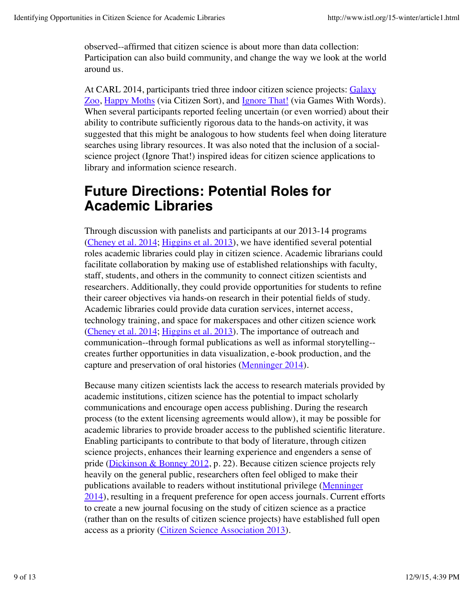observed--affirmed that citizen science is about more than data collection: Participation can also build community, and change the way we look at the world around us.

At CARL 2014, participants tried three indoor citizen science projects: Galaxy Zoo, Happy Moths (via Citizen Sort), and Ignore That! (via Games With Words). When several participants reported feeling uncertain (or even worried) about their ability to contribute sufficiently rigorous data to the hands-on activity, it was suggested that this might be analogous to how students feel when doing literature searches using library resources. It was also noted that the inclusion of a socialscience project (Ignore That!) inspired ideas for citizen science applications to library and information science research.

### **Future Directions: Potential Roles for Academic Libraries**

Through discussion with panelists and participants at our 2013-14 programs (Cheney et al. 2014; Higgins et al. 2013), we have identified several potential roles academic libraries could play in citizen science. Academic librarians could facilitate collaboration by making use of established relationships with faculty, staff, students, and others in the community to connect citizen scientists and researchers. Additionally, they could provide opportunities for students to refine their career objectives via hands-on research in their potential fields of study. Academic libraries could provide data curation services, internet access, technology training, and space for makerspaces and other citizen science work (Cheney et al. 2014; Higgins et al. 2013). The importance of outreach and communication--through formal publications as well as informal storytelling- creates further opportunities in data visualization, e-book production, and the capture and preservation of oral histories (Menninger 2014).

Because many citizen scientists lack the access to research materials provided by academic institutions, citizen science has the potential to impact scholarly communications and encourage open access publishing. During the research process (to the extent licensing agreements would allow), it may be possible for academic libraries to provide broader access to the published scientific literature. Enabling participants to contribute to that body of literature, through citizen science projects, enhances their learning experience and engenders a sense of pride (Dickinson & Bonney 2012, p. 22). Because citizen science projects rely heavily on the general public, researchers often feel obliged to make their publications available to readers without institutional privilege (Menninger 2014), resulting in a frequent preference for open access journals. Current efforts to create a new journal focusing on the study of citizen science as a practice (rather than on the results of citizen science projects) have established full open access as a priority (Citizen Science Association 2013).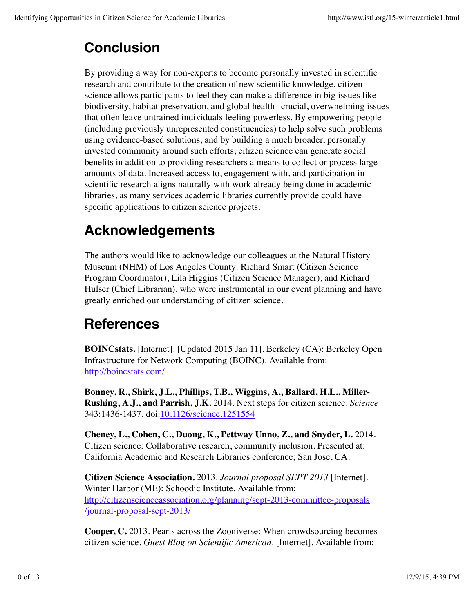## **Conclusion**

By providing a way for non-experts to become personally invested in scientific research and contribute to the creation of new scientific knowledge, citizen science allows participants to feel they can make a difference in big issues like biodiversity, habitat preservation, and global health--crucial, overwhelming issues that often leave untrained individuals feeling powerless. By empowering people (including previously unrepresented constituencies) to help solve such problems using evidence-based solutions, and by building a much broader, personally invested community around such efforts, citizen science can generate social benefits in addition to providing researchers a means to collect or process large amounts of data. Increased access to, engagement with, and participation in scientific research aligns naturally with work already being done in academic libraries, as many services academic libraries currently provide could have specific applications to citizen science projects.

## **Acknowledgements**

The authors would like to acknowledge our colleagues at the Natural History Museum (NHM) of Los Angeles County: Richard Smart (Citizen Science Program Coordinator), Lila Higgins (Citizen Science Manager), and Richard Hulser (Chief Librarian), who were instrumental in our event planning and have greatly enriched our understanding of citizen science.

### **References**

**BOINCstats.** [Internet]. [Updated 2015 Jan 11]. Berkeley (CA): Berkeley Open Infrastructure for Network Computing (BOINC). Available from: http://boincstats.com/

**Bonney, R., Shirk, J.L., Phillips, T.B., Wiggins, A., Ballard, H.L., Miller-Rushing, A.J., and Parrish, J.K.** 2014. Next steps for citizen science. *Science* 343:1436-1437. doi:10.1126/science.1251554

**Cheney, L., Cohen, C., Duong, K., Pettway Unno, Z., and Snyder, L.** 2014. Citizen science: Collaborative research, community inclusion. Presented at: California Academic and Research Libraries conference; San Jose, CA.

**Citizen Science Association.** 2013. *Journal proposal SEPT 2013* [Internet]. Winter Harbor (ME): Schoodic Institute. Available from: http://citizenscienceassociation.org/planning/sept-2013-committee-proposals /journal-proposal-sept-2013/

**Cooper, C.** 2013. Pearls across the Zooniverse: When crowdsourcing becomes citizen science. *Guest Blog on Scientific American.* [Internet]. Available from: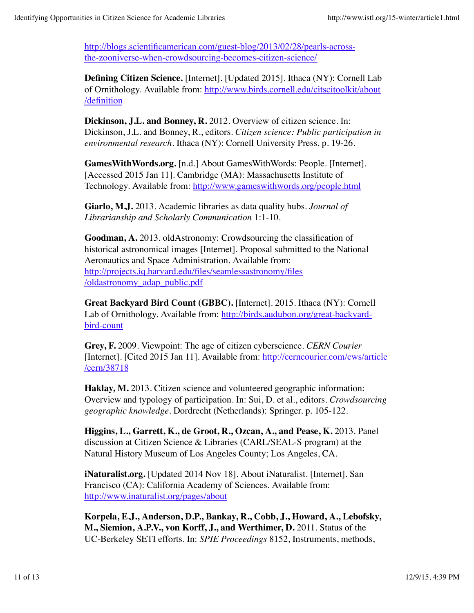http://blogs.scientificamerican.com/guest-blog/2013/02/28/pearls-acrossthe-zooniverse-when-crowdsourcing-becomes-citizen-science/

**Defining Citizen Science.** [Internet]. [Updated 2015]. Ithaca (NY): Cornell Lab of Ornithology. Available from: http://www.birds.cornell.edu/citscitoolkit/about /definition

**Dickinson, J.L. and Bonney, R.** 2012. Overview of citizen science. In: Dickinson, J.L. and Bonney, R., editors. *Citizen science: Public participation in environmental research.* Ithaca (NY): Cornell University Press. p. 19-26.

**GamesWithWords.org.** [n.d.] About GamesWithWords: People. [Internet]. [Accessed 2015 Jan 11]. Cambridge (MA): Massachusetts Institute of Technology. Available from: http://www.gameswithwords.org/people.html

**Giarlo, M.J.** 2013. Academic libraries as data quality hubs. *Journal of Librarianship and Scholarly Communication* 1:1-10.

**Goodman, A.** 2013. oldAstronomy: Crowdsourcing the classification of historical astronomical images [Internet]. Proposal submitted to the National Aeronautics and Space Administration. Available from: http://projects.iq.harvard.edu/files/seamlessastronomy/files /oldastronomy\_adap\_public.pdf

**Great Backyard Bird Count (GBBC).** [Internet]. 2015. Ithaca (NY): Cornell Lab of Ornithology. Available from: http://birds.audubon.org/great-backyardbird-count

**Grey, F.** 2009. Viewpoint: The age of citizen cyberscience. *CERN Courier* [Internet]. [Cited 2015 Jan 11]. Available from: http://cerncourier.com/cws/article /cern/38718

**Haklay, M.** 2013. Citizen science and volunteered geographic information: Overview and typology of participation. In: Sui, D. et al., editors. *Crowdsourcing geographic knowledge.* Dordrecht (Netherlands): Springer. p. 105-122.

**Higgins, L., Garrett, K., de Groot, R., Ozcan, A., and Pease, K.** 2013. Panel discussion at Citizen Science & Libraries (CARL/SEAL-S program) at the Natural History Museum of Los Angeles County; Los Angeles, CA.

**iNaturalist.org.** [Updated 2014 Nov 18]. About iNaturalist. [Internet]. San Francisco (CA): California Academy of Sciences. Available from: http://www.inaturalist.org/pages/about

**Korpela, E.J., Anderson, D.P., Bankay, R., Cobb, J., Howard, A., Lebofsky, M., Siemion, A.P.V., von Korff, J., and Werthimer, D.** 2011. Status of the UC-Berkeley SETI efforts. In: *SPIE Proceedings* 8152, Instruments, methods,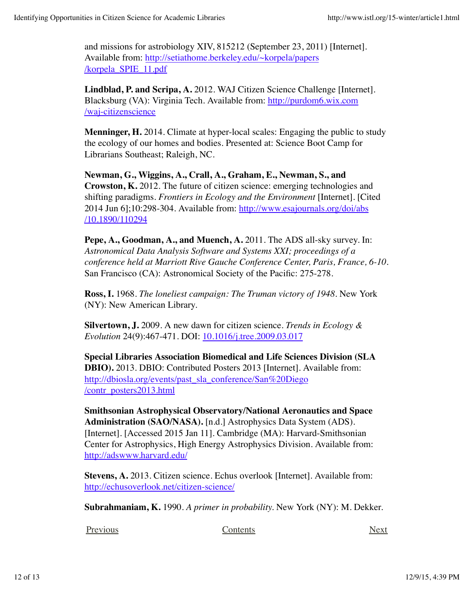and missions for astrobiology XIV, 815212 (September 23, 2011) [Internet]. Available from: http://setiathome.berkeley.edu/~korpela/papers /korpela\_SPIE\_11.pdf

**Lindblad, P. and Scripa, A.** 2012. WAJ Citizen Science Challenge [Internet]. Blacksburg (VA): Virginia Tech. Available from: http://purdom6.wix.com /waj-citizenscience

**Menninger, H.** 2014. Climate at hyper-local scales: Engaging the public to study the ecology of our homes and bodies. Presented at: Science Boot Camp for Librarians Southeast; Raleigh, NC.

**Newman, G., Wiggins, A., Crall, A., Graham, E., Newman, S., and Crowston, K.** 2012. The future of citizen science: emerging technologies and shifting paradigms. *Frontiers in Ecology and the Environment* [Internet]. [Cited 2014 Jun 6];10:298-304. Available from: http://www.esajournals.org/doi/abs /10.1890/110294

**Pepe, A., Goodman, A., and Muench, A.** 2011. The ADS all-sky survey. In: *Astronomical Data Analysis Software and Systems XXI; proceedings of a conference held at Marriott Rive Gauche Conference Center, Paris, France, 6-10.* San Francisco (CA): Astronomical Society of the Pacific: 275-278.

**Ross, I.** 1968. *The loneliest campaign: The Truman victory of 1948.* New York (NY): New American Library.

**Silvertown, J.** 2009. A new dawn for citizen science. *Trends in Ecology & Evolution* 24(9):467-471. DOI: 10.1016/j.tree.2009.03.017

**Special Libraries Association Biomedical and Life Sciences Division (SLA DBIO).** 2013. DBIO: Contributed Posters 2013 [Internet]. Available from: http://dbiosla.org/events/past\_sla\_conference/San%20Diego /contr\_posters2013.html

**Smithsonian Astrophysical Observatory/National Aeronautics and Space Administration (SAO/NASA).** [n.d.] Astrophysics Data System (ADS). [Internet]. [Accessed 2015 Jan 11]. Cambridge (MA): Harvard-Smithsonian Center for Astrophysics, High Energy Astrophysics Division. Available from: http://adswww.harvard.edu/

**Stevens, A.** 2013. Citizen science. Echus overlook [Internet]. Available from: http://echusoverlook.net/citizen-science/

**Subrahmaniam, K.** 1990. *A primer in probability.* New York (NY): M. Dekker.

Previous Next